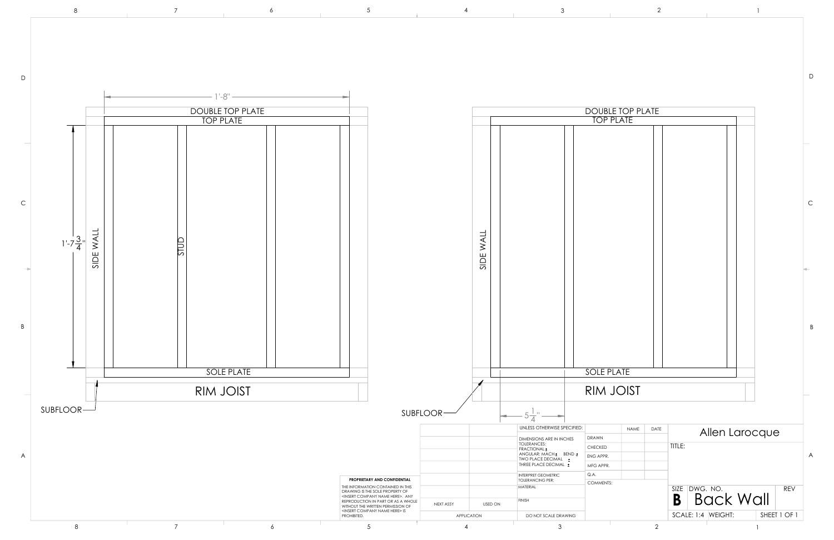D



|             | <u>e iuf flaie</u><br>PLATE |            |                                                                                                      |             |
|-------------|-----------------------------|------------|------------------------------------------------------------------------------------------------------|-------------|
|             |                             |            |                                                                                                      |             |
|             |                             |            |                                                                                                      | $\mathsf C$ |
|             |                             |            |                                                                                                      | B           |
| <u>LATE</u> |                             |            |                                                                                                      |             |
|             | <b>JOIST</b>                |            |                                                                                                      |             |
|             |                             |            |                                                                                                      |             |
|             | <b>NAME</b>                 | DATE       | Allen Larocque                                                                                       |             |
|             |                             |            | TITLE:                                                                                               | A           |
|             |                             |            | DWG. NO.<br><b>SIZE</b><br><b>REV</b><br><b>Back Wall</b><br>B<br>SCALE: 1:4 WEIGHT:<br>SHEET 1 OF 1 |             |
|             |                             | $\sqrt{2}$ | 1                                                                                                    |             |
|             |                             |            |                                                                                                      |             |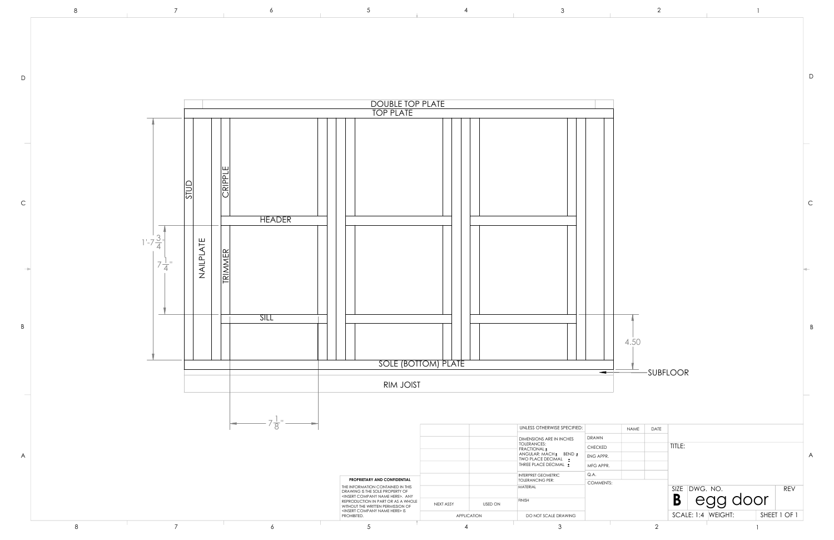D

C

B



| <b>NAME</b> | DATE |                                      |   |
|-------------|------|--------------------------------------|---|
|             |      |                                      |   |
|             |      | TITLE:                               |   |
|             |      |                                      | A |
|             |      |                                      |   |
|             |      |                                      |   |
|             |      | SIZE DWG. NO.<br><b>REV</b>          |   |
|             |      | egg door<br>B                        |   |
|             |      | SCALE: 1:4   WEIGHT:<br>SHEET 1 OF 1 |   |
|             | 2    |                                      |   |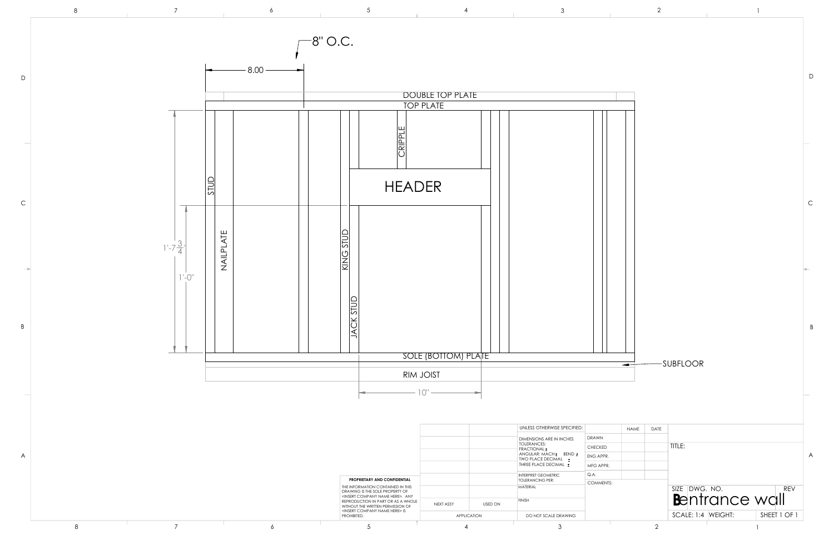D

B



| <b>NAME</b> | DATE |                                      |   |
|-------------|------|--------------------------------------|---|
|             |      | TITLE:                               |   |
|             |      |                                      | A |
|             |      | SIZE DWG. NO.<br><b>REV</b>          |   |
|             |      | Bentrance wall                       |   |
|             |      | SCALE: 1:4   WEIGHT:<br>SHEET 1 OF 1 |   |
|             | 2    |                                      |   |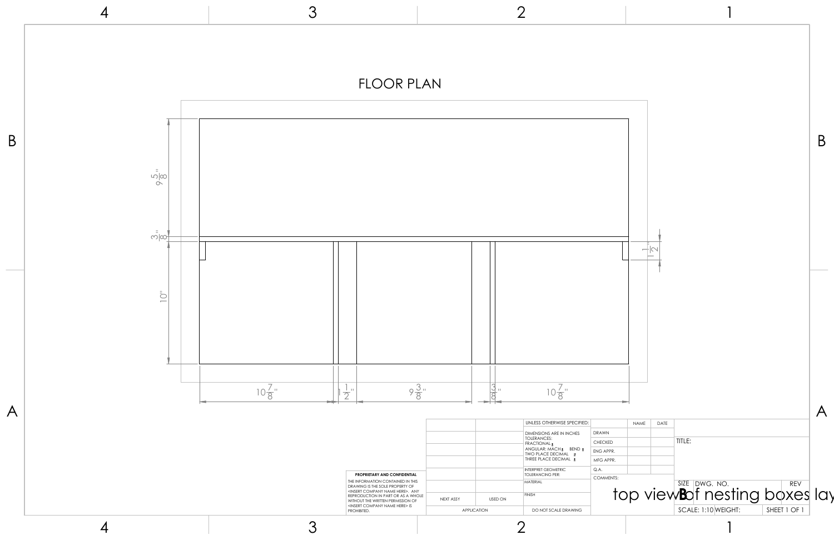1

|            |      |                      |                                                                                |                            | B |
|------------|------|----------------------|--------------------------------------------------------------------------------|----------------------------|---|
|            |      | $\frac{1}{\sqrt{2}}$ |                                                                                |                            |   |
| Ś.         | NAME | DATE                 | TITLE:                                                                         |                            |   |
| R.<br>ITS: |      |                      | SIZE DWG. NO.<br>top view <b>B</b> of nesting boxes lay<br>SCALE: 1:10 WEIGHT: | <b>REV</b><br>SHEET 1 OF 1 |   |